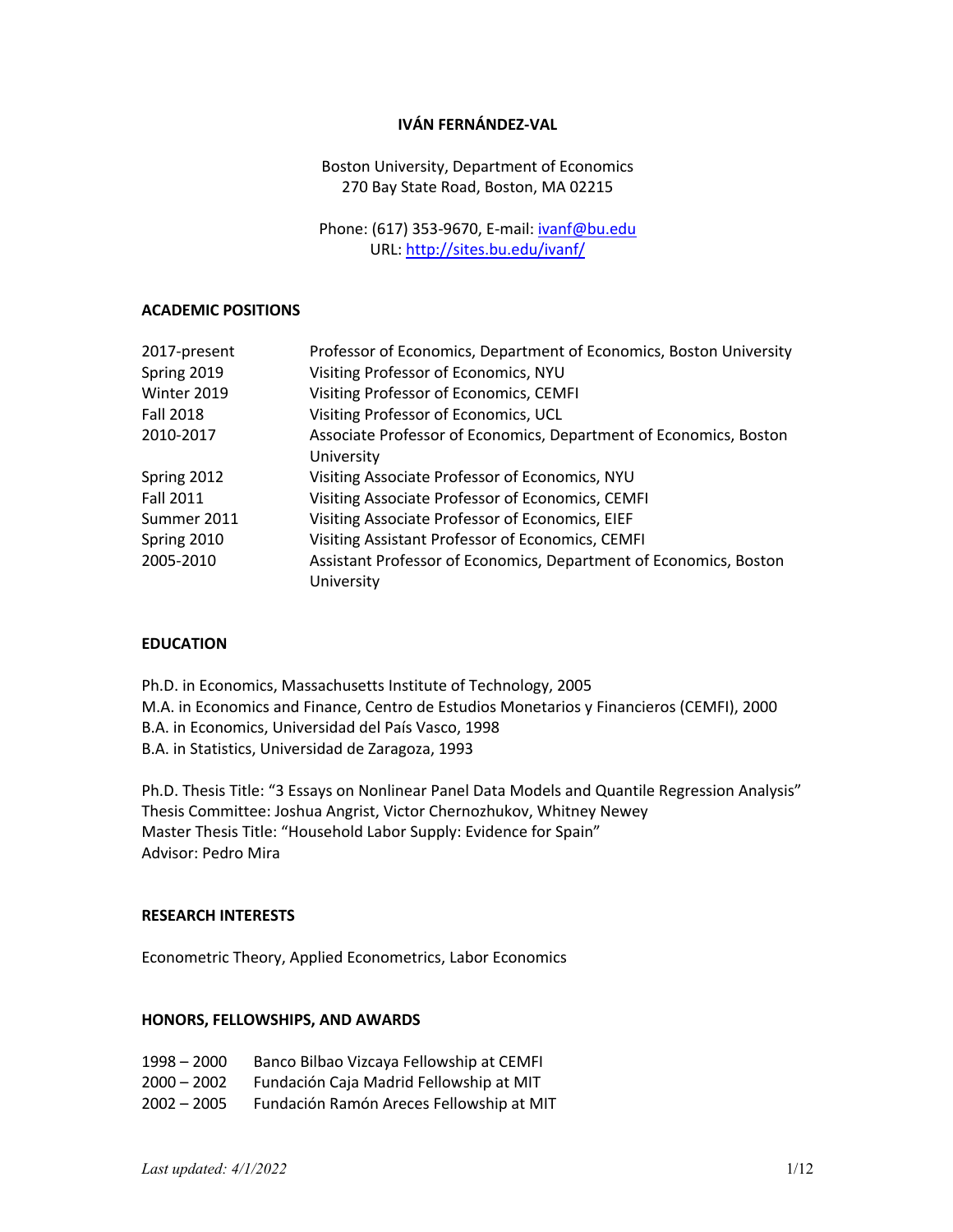# **IVÁN FERNÁNDEZ-VAL**

Boston University, Department of Economics 270 Bay State Road, Boston, MA 02215

Phone: (617) 353-9670, E-mail: ivanf@bu.edu URL: http://sites.bu.edu/ivanf/

### **ACADEMIC POSITIONS**

| 2017-present     | Professor of Economics, Department of Economics, Boston University |
|------------------|--------------------------------------------------------------------|
| Spring 2019      | Visiting Professor of Economics, NYU                               |
| Winter 2019      | Visiting Professor of Economics, CEMFI                             |
| <b>Fall 2018</b> | Visiting Professor of Economics, UCL                               |
| 2010-2017        | Associate Professor of Economics, Department of Economics, Boston  |
|                  | University                                                         |
| Spring 2012      | Visiting Associate Professor of Economics, NYU                     |
| <b>Fall 2011</b> | Visiting Associate Professor of Economics, CEMFI                   |
| Summer 2011      | Visiting Associate Professor of Economics, EIEF                    |
| Spring 2010      | Visiting Assistant Professor of Economics, CEMFI                   |
| 2005-2010        | Assistant Professor of Economics, Department of Economics, Boston  |
|                  | University                                                         |

#### **EDUCATION**

Ph.D. in Economics, Massachusetts Institute of Technology, 2005 M.A. in Economics and Finance, Centro de Estudios Monetarios y Financieros (CEMFI), 2000 B.A. in Economics, Universidad del País Vasco, 1998 B.A. in Statistics, Universidad de Zaragoza, 1993

Ph.D. Thesis Title: "3 Essays on Nonlinear Panel Data Models and Quantile Regression Analysis" Thesis Committee: Joshua Angrist, Victor Chernozhukov, Whitney Newey Master Thesis Title: "Household Labor Supply: Evidence for Spain" Advisor: Pedro Mira

#### **RESEARCH INTERESTS**

Econometric Theory, Applied Econometrics, Labor Economics

### **HONORS, FELLOWSHIPS, AND AWARDS**

| $1998 - 2000$ | Banco Bilbao Vizcaya Fellowship at CEMFI |
|---------------|------------------------------------------|
| $2000 - 2002$ | Fundación Caja Madrid Fellowship at MIT  |

2002 – 2005 Fundación Ramón Areces Fellowship at MIT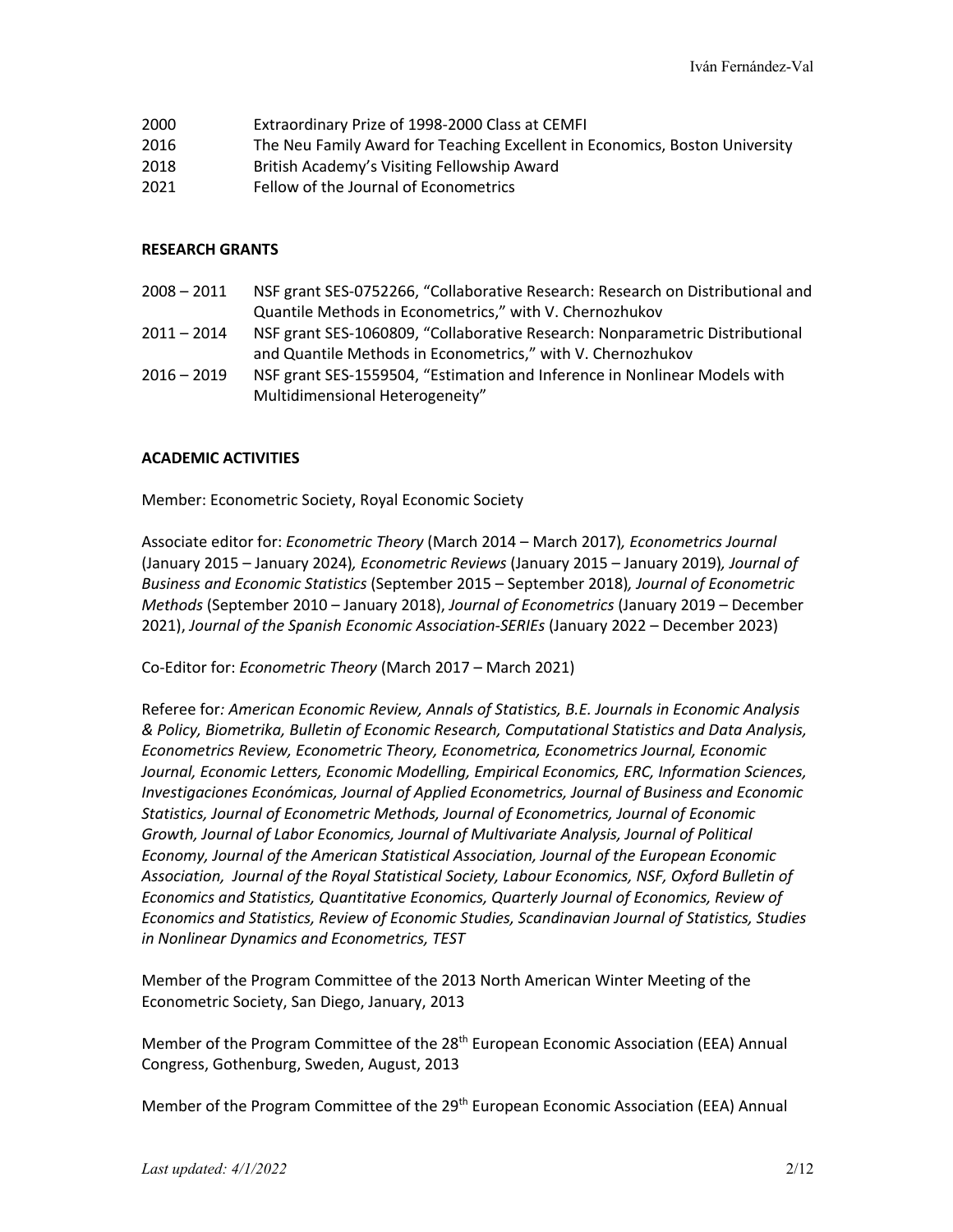- 2000 Extraordinary Prize of 1998-2000 Class at CEMFI
- 2016 The Neu Family Award for Teaching Excellent in Economics, Boston University
- 2018 British Academy's Visiting Fellowship Award
- 2021 Fellow of the Journal of Econometrics

### **RESEARCH GRANTS**

- 2008 2011 NSF grant SES-0752266, "Collaborative Research: Research on Distributional and Quantile Methods in Econometrics," with V. Chernozhukov 2011 – 2014 NSF grant SES-1060809, "Collaborative Research: Nonparametric Distributional
- and Quantile Methods in Econometrics," with V. Chernozhukov 2016 – 2019 NSF grant SES-1559504, "Estimation and Inference in Nonlinear Models with
	- Multidimensional Heterogeneity"

# **ACADEMIC ACTIVITIES**

Member: Econometric Society, Royal Economic Society

Associate editor for: *Econometric Theory* (March 2014 – March 2017)*, Econometrics Journal* (January 2015 – January 2024)*, Econometric Reviews* (January 2015 – January 2019)*, Journal of Business and Economic Statistics* (September 2015 – September 2018)*, Journal of Econometric Methods* (September 2010 – January 2018), *Journal of Econometrics* (January 2019 – December 2021), *Journal of the Spanish Economic Association-SERIEs* (January 2022 – December 2023)

Co-Editor for: *Econometric Theory* (March 2017 – March 2021)

Referee for*: American Economic Review, Annals of Statistics, B.E. Journals in Economic Analysis & Policy, Biometrika, Bulletin of Economic Research, Computational Statistics and Data Analysis, Econometrics Review, Econometric Theory, Econometrica, Econometrics Journal, Economic Journal, Economic Letters, Economic Modelling, Empirical Economics, ERC, Information Sciences, Investigaciones Económicas, Journal of Applied Econometrics, Journal of Business and Economic Statistics, Journal of Econometric Methods, Journal of Econometrics, Journal of Economic Growth, Journal of Labor Economics, Journal of Multivariate Analysis, Journal of Political Economy, Journal of the American Statistical Association, Journal of the European Economic Association, Journal of the Royal Statistical Society, Labour Economics, NSF, Oxford Bulletin of Economics and Statistics, Quantitative Economics, Quarterly Journal of Economics, Review of Economics and Statistics, Review of Economic Studies, Scandinavian Journal of Statistics, Studies in Nonlinear Dynamics and Econometrics, TEST*

Member of the Program Committee of the 2013 North American Winter Meeting of the Econometric Society, San Diego, January, 2013

Member of the Program Committee of the 28<sup>th</sup> European Economic Association (EEA) Annual Congress, Gothenburg, Sweden, August, 2013

Member of the Program Committee of the 29<sup>th</sup> European Economic Association (EEA) Annual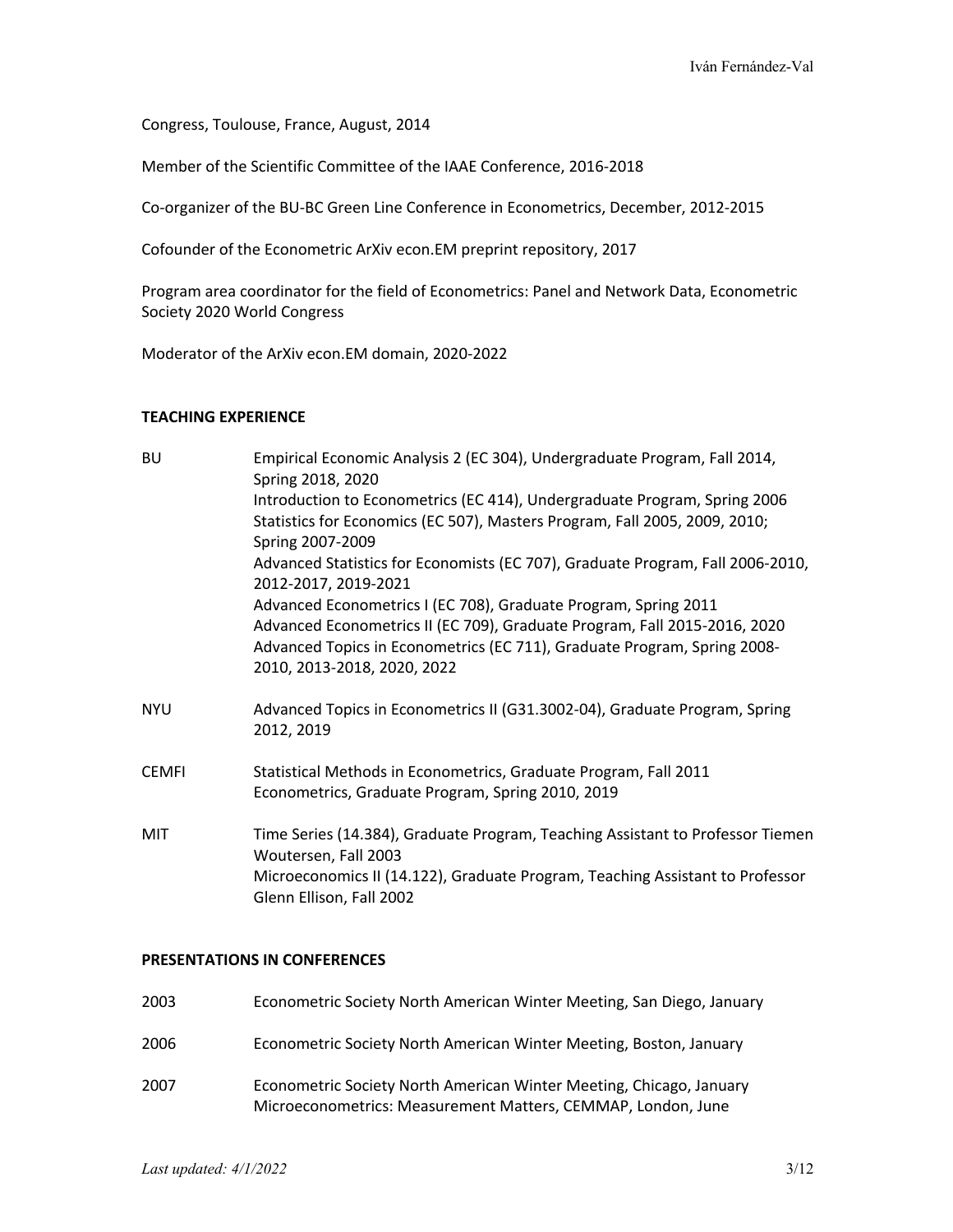Congress, Toulouse, France, August, 2014

Member of the Scientific Committee of the IAAE Conference, 2016-2018

Co-organizer of the BU-BC Green Line Conference in Econometrics, December, 2012-2015

Cofounder of the Econometric ArXiv econ.EM preprint repository, 2017

Program area coordinator for the field of Econometrics: Panel and Network Data, Econometric Society 2020 World Congress

Moderator of the ArXiv econ.EM domain, 2020-2022

#### **TEACHING EXPERIENCE**

| <b>BU</b>    | Empirical Economic Analysis 2 (EC 304), Undergraduate Program, Fall 2014,<br>Spring 2018, 2020                                                                                                                                                          |
|--------------|---------------------------------------------------------------------------------------------------------------------------------------------------------------------------------------------------------------------------------------------------------|
|              | Introduction to Econometrics (EC 414), Undergraduate Program, Spring 2006<br>Statistics for Economics (EC 507), Masters Program, Fall 2005, 2009, 2010;                                                                                                 |
|              | Spring 2007-2009<br>Advanced Statistics for Economists (EC 707), Graduate Program, Fall 2006-2010,                                                                                                                                                      |
|              | 2012-2017, 2019-2021                                                                                                                                                                                                                                    |
|              | Advanced Econometrics I (EC 708), Graduate Program, Spring 2011<br>Advanced Econometrics II (EC 709), Graduate Program, Fall 2015-2016, 2020<br>Advanced Topics in Econometrics (EC 711), Graduate Program, Spring 2008-<br>2010, 2013-2018, 2020, 2022 |
| NYU          | Advanced Topics in Econometrics II (G31.3002-04), Graduate Program, Spring<br>2012, 2019                                                                                                                                                                |
| <b>CEMFI</b> | Statistical Methods in Econometrics, Graduate Program, Fall 2011<br>Econometrics, Graduate Program, Spring 2010, 2019                                                                                                                                   |
| MIT          | Time Series (14.384), Graduate Program, Teaching Assistant to Professor Tiemen<br>Woutersen, Fall 2003<br>Microeconomics II (14.122), Graduate Program, Teaching Assistant to Professor<br>Glenn Ellison, Fall 2002                                     |
|              |                                                                                                                                                                                                                                                         |

# **PRESENTATIONS IN CONFERENCES**

| 2003 | Econometric Society North American Winter Meeting, San Diego, January                                                               |
|------|-------------------------------------------------------------------------------------------------------------------------------------|
| 2006 | Econometric Society North American Winter Meeting, Boston, January                                                                  |
| 2007 | Econometric Society North American Winter Meeting, Chicago, January<br>Microeconometrics: Measurement Matters, CEMMAP, London, June |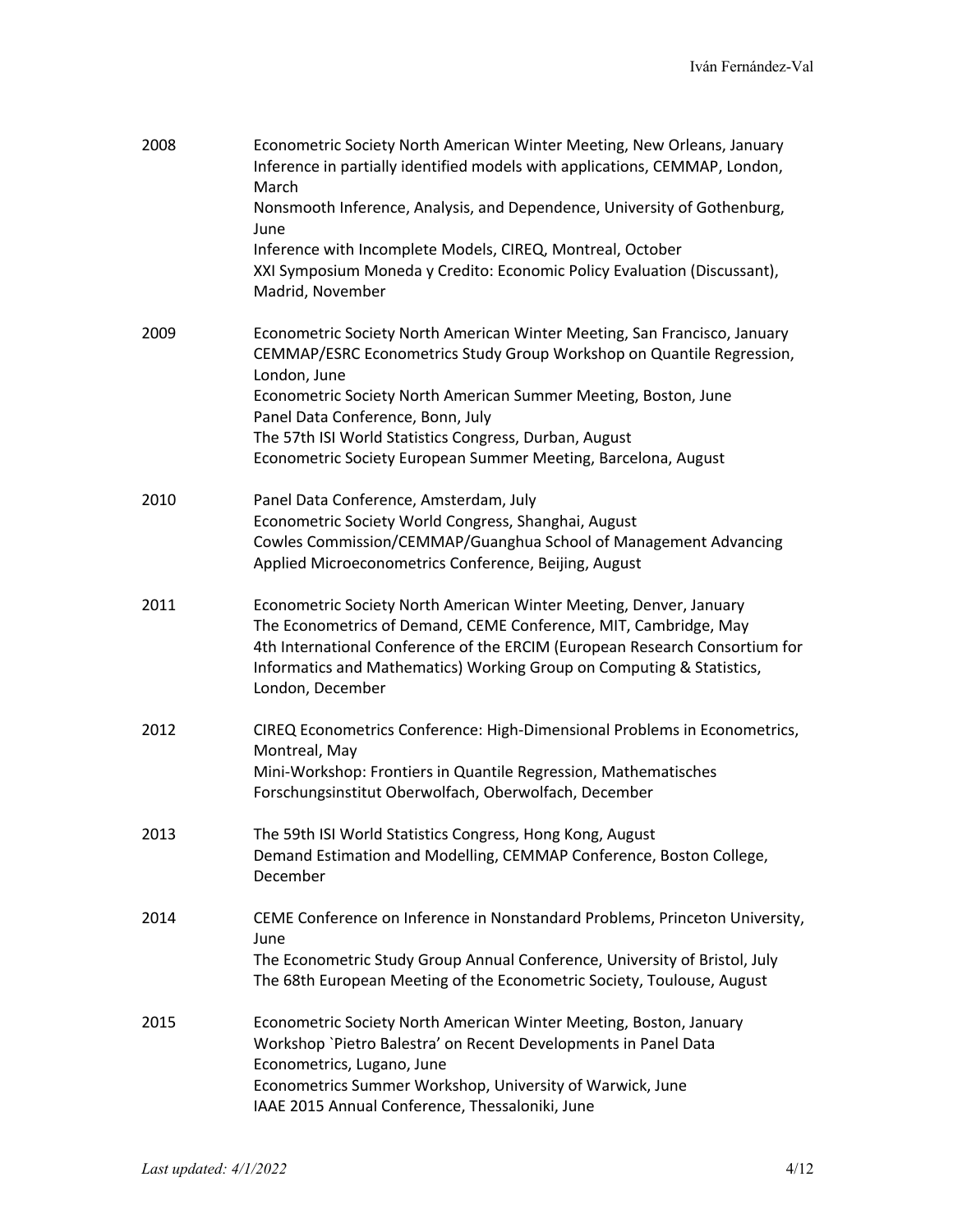| 2008 | Econometric Society North American Winter Meeting, New Orleans, January<br>Inference in partially identified models with applications, CEMMAP, London,<br>March<br>Nonsmooth Inference, Analysis, and Dependence, University of Gothenburg,<br>June<br>Inference with Incomplete Models, CIREQ, Montreal, October<br>XXI Symposium Moneda y Credito: Economic Policy Evaluation (Discussant),<br>Madrid, November |
|------|-------------------------------------------------------------------------------------------------------------------------------------------------------------------------------------------------------------------------------------------------------------------------------------------------------------------------------------------------------------------------------------------------------------------|
| 2009 | Econometric Society North American Winter Meeting, San Francisco, January<br>CEMMAP/ESRC Econometrics Study Group Workshop on Quantile Regression,<br>London, June<br>Econometric Society North American Summer Meeting, Boston, June<br>Panel Data Conference, Bonn, July<br>The 57th ISI World Statistics Congress, Durban, August<br>Econometric Society European Summer Meeting, Barcelona, August            |
| 2010 | Panel Data Conference, Amsterdam, July<br>Econometric Society World Congress, Shanghai, August<br>Cowles Commission/CEMMAP/Guanghua School of Management Advancing<br>Applied Microeconometrics Conference, Beijing, August                                                                                                                                                                                       |
| 2011 | Econometric Society North American Winter Meeting, Denver, January<br>The Econometrics of Demand, CEME Conference, MIT, Cambridge, May<br>4th International Conference of the ERCIM (European Research Consortium for<br>Informatics and Mathematics) Working Group on Computing & Statistics,<br>London, December                                                                                                |
| 2012 | CIREQ Econometrics Conference: High-Dimensional Problems in Econometrics,<br>Montreal, May<br>Mini-Workshop: Frontiers in Quantile Regression, Mathematisches<br>Forschungsinstitut Oberwolfach, Oberwolfach, December                                                                                                                                                                                            |
| 2013 | The 59th ISI World Statistics Congress, Hong Kong, August<br>Demand Estimation and Modelling, CEMMAP Conference, Boston College,<br>December                                                                                                                                                                                                                                                                      |
| 2014 | CEME Conference on Inference in Nonstandard Problems, Princeton University,<br>June<br>The Econometric Study Group Annual Conference, University of Bristol, July<br>The 68th European Meeting of the Econometric Society, Toulouse, August                                                                                                                                                                       |
| 2015 | Econometric Society North American Winter Meeting, Boston, January<br>Workshop `Pietro Balestra' on Recent Developments in Panel Data<br>Econometrics, Lugano, June<br>Econometrics Summer Workshop, University of Warwick, June<br>IAAE 2015 Annual Conference, Thessaloniki, June                                                                                                                               |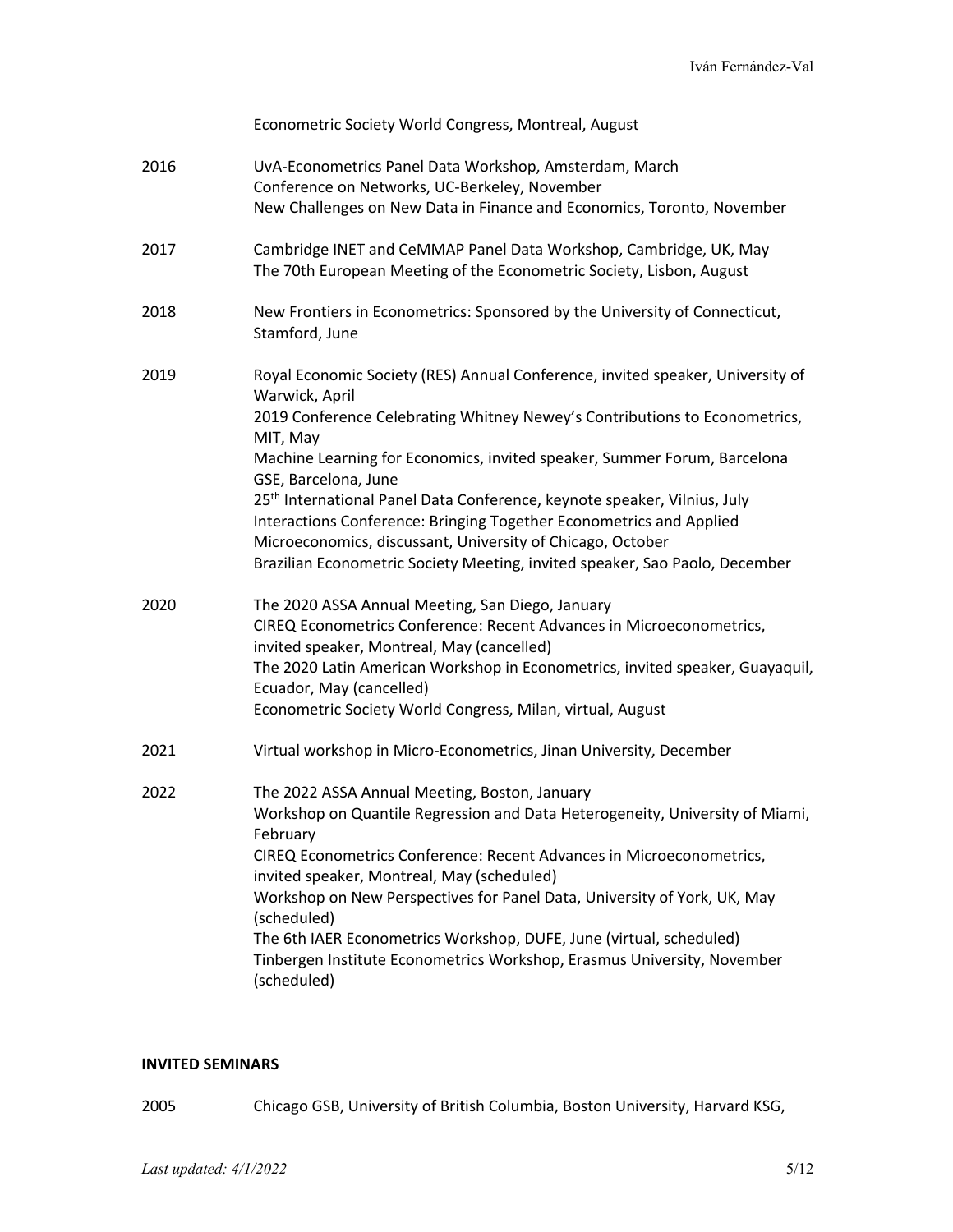| Econometric Society World Congress, Montreal, August                                                                                                                                                                                                                                                                                                                                                                                                                                                                        |
|-----------------------------------------------------------------------------------------------------------------------------------------------------------------------------------------------------------------------------------------------------------------------------------------------------------------------------------------------------------------------------------------------------------------------------------------------------------------------------------------------------------------------------|
| UvA-Econometrics Panel Data Workshop, Amsterdam, March<br>Conference on Networks, UC-Berkeley, November<br>New Challenges on New Data in Finance and Economics, Toronto, November                                                                                                                                                                                                                                                                                                                                           |
| Cambridge INET and CeMMAP Panel Data Workshop, Cambridge, UK, May<br>The 70th European Meeting of the Econometric Society, Lisbon, August                                                                                                                                                                                                                                                                                                                                                                                   |
| New Frontiers in Econometrics: Sponsored by the University of Connecticut,<br>Stamford, June                                                                                                                                                                                                                                                                                                                                                                                                                                |
| Royal Economic Society (RES) Annual Conference, invited speaker, University of<br>Warwick, April<br>2019 Conference Celebrating Whitney Newey's Contributions to Econometrics,<br>MIT, May                                                                                                                                                                                                                                                                                                                                  |
| Machine Learning for Economics, invited speaker, Summer Forum, Barcelona<br>GSE, Barcelona, June                                                                                                                                                                                                                                                                                                                                                                                                                            |
| 25 <sup>th</sup> International Panel Data Conference, keynote speaker, Vilnius, July<br>Interactions Conference: Bringing Together Econometrics and Applied<br>Microeconomics, discussant, University of Chicago, October<br>Brazilian Econometric Society Meeting, invited speaker, Sao Paolo, December                                                                                                                                                                                                                    |
| The 2020 ASSA Annual Meeting, San Diego, January<br>CIREQ Econometrics Conference: Recent Advances in Microeconometrics,<br>invited speaker, Montreal, May (cancelled)<br>The 2020 Latin American Workshop in Econometrics, invited speaker, Guayaquil,<br>Ecuador, May (cancelled)<br>Econometric Society World Congress, Milan, virtual, August                                                                                                                                                                           |
| Virtual workshop in Micro-Econometrics, Jinan University, December                                                                                                                                                                                                                                                                                                                                                                                                                                                          |
| The 2022 ASSA Annual Meeting, Boston, January<br>Workshop on Quantile Regression and Data Heterogeneity, University of Miami,<br>February<br>CIREQ Econometrics Conference: Recent Advances in Microeconometrics,<br>invited speaker, Montreal, May (scheduled)<br>Workshop on New Perspectives for Panel Data, University of York, UK, May<br>(scheduled)<br>The 6th IAER Econometrics Workshop, DUFE, June (virtual, scheduled)<br>Tinbergen Institute Econometrics Workshop, Erasmus University, November<br>(scheduled) |
|                                                                                                                                                                                                                                                                                                                                                                                                                                                                                                                             |

# **INVITED SEMINARS**

2005 Chicago GSB, University of British Columbia, Boston University, Harvard KSG,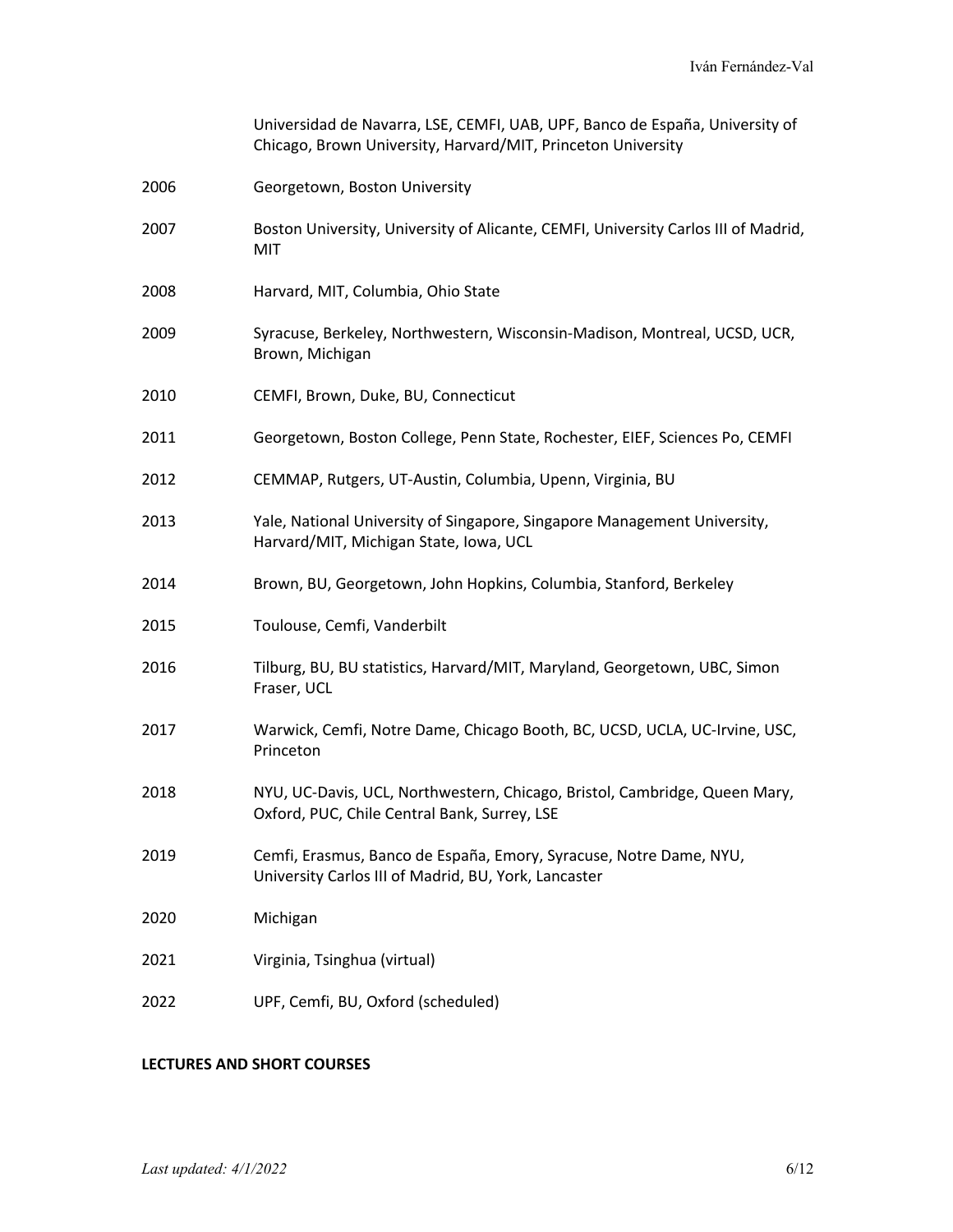|      | Universidad de Navarra, LSE, CEMFI, UAB, UPF, Banco de España, University of<br>Chicago, Brown University, Harvard/MIT, Princeton University |
|------|----------------------------------------------------------------------------------------------------------------------------------------------|
| 2006 | Georgetown, Boston University                                                                                                                |
| 2007 | Boston University, University of Alicante, CEMFI, University Carlos III of Madrid,<br>MIT                                                    |
| 2008 | Harvard, MIT, Columbia, Ohio State                                                                                                           |
| 2009 | Syracuse, Berkeley, Northwestern, Wisconsin-Madison, Montreal, UCSD, UCR,<br>Brown, Michigan                                                 |
| 2010 | CEMFI, Brown, Duke, BU, Connecticut                                                                                                          |
| 2011 | Georgetown, Boston College, Penn State, Rochester, EIEF, Sciences Po, CEMFI                                                                  |
| 2012 | CEMMAP, Rutgers, UT-Austin, Columbia, Upenn, Virginia, BU                                                                                    |
| 2013 | Yale, National University of Singapore, Singapore Management University,<br>Harvard/MIT, Michigan State, Iowa, UCL                           |
| 2014 | Brown, BU, Georgetown, John Hopkins, Columbia, Stanford, Berkeley                                                                            |
| 2015 | Toulouse, Cemfi, Vanderbilt                                                                                                                  |
| 2016 | Tilburg, BU, BU statistics, Harvard/MIT, Maryland, Georgetown, UBC, Simon<br>Fraser, UCL                                                     |
| 2017 | Warwick, Cemfi, Notre Dame, Chicago Booth, BC, UCSD, UCLA, UC-Irvine, USC,<br>Princeton                                                      |
| 2018 | NYU, UC-Davis, UCL, Northwestern, Chicago, Bristol, Cambridge, Queen Mary,<br>Oxford, PUC, Chile Central Bank, Surrey, LSE                   |
| 2019 | Cemfi, Erasmus, Banco de España, Emory, Syracuse, Notre Dame, NYU,<br>University Carlos III of Madrid, BU, York, Lancaster                   |
| 2020 | Michigan                                                                                                                                     |
| 2021 | Virginia, Tsinghua (virtual)                                                                                                                 |
| 2022 | UPF, Cemfi, BU, Oxford (scheduled)                                                                                                           |

# **LECTURES AND SHORT COURSES**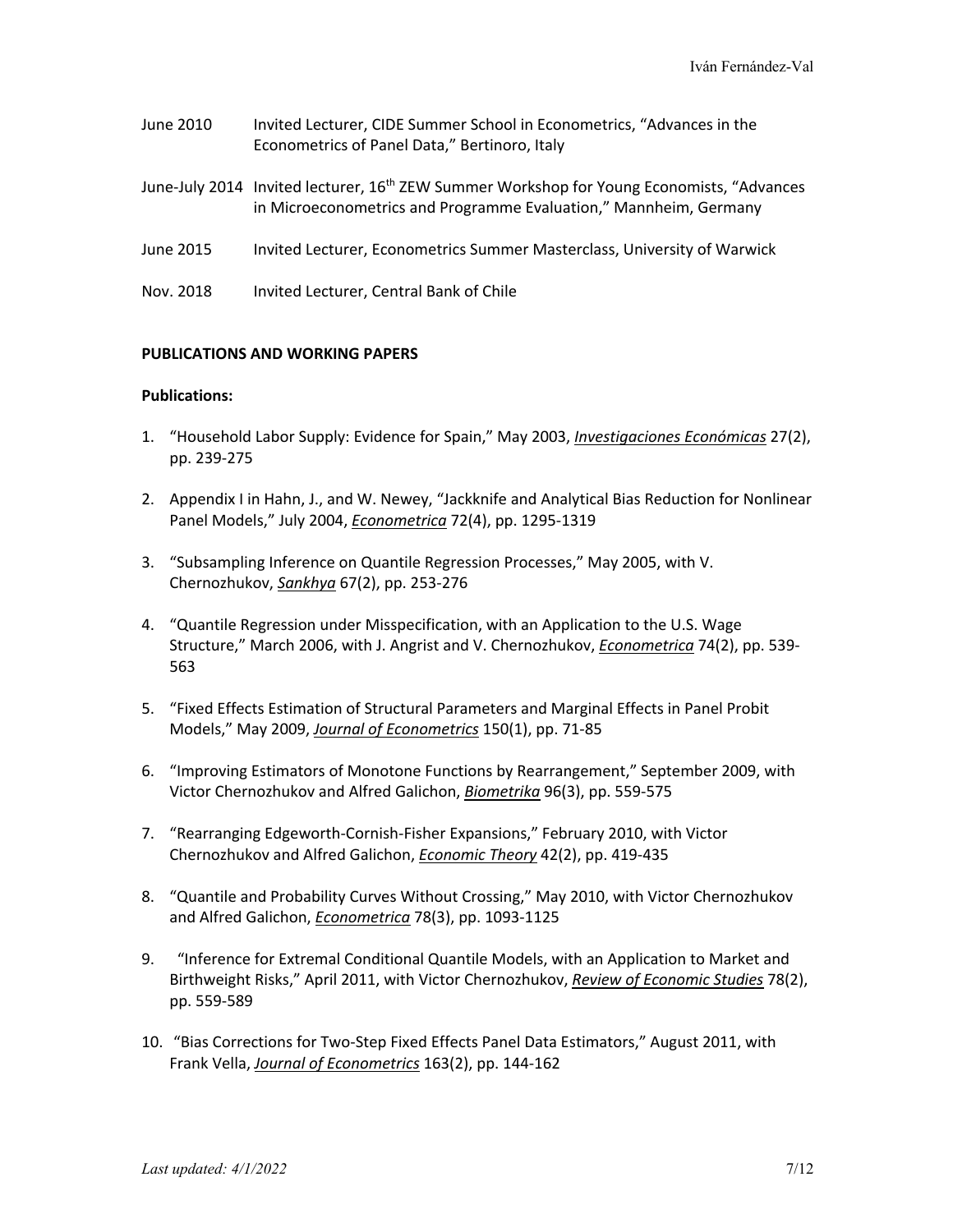- June 2010 Invited Lecturer, CIDE Summer School in Econometrics, "Advances in the Econometrics of Panel Data," Bertinoro, Italy
- June-July 2014 Invited lecturer, 16<sup>th</sup> ZEW Summer Workshop for Young Economists, "Advances in Microeconometrics and Programme Evaluation," Mannheim, Germany
- June 2015 Invited Lecturer, Econometrics Summer Masterclass, University of Warwick
- Nov. 2018 Invited Lecturer, Central Bank of Chile

### **PUBLICATIONS AND WORKING PAPERS**

#### **Publications:**

- 1. "Household Labor Supply: Evidence for Spain," May 2003, *Investigaciones Económicas* 27(2), pp. 239-275
- 2. Appendix I in Hahn, J., and W. Newey, "Jackknife and Analytical Bias Reduction for Nonlinear Panel Models," July 2004, *Econometrica* 72(4), pp. 1295-1319
- 3. "Subsampling Inference on Quantile Regression Processes," May 2005, with V. Chernozhukov, *Sankhya* 67(2), pp. 253-276
- 4. "Quantile Regression under Misspecification, with an Application to the U.S. Wage Structure," March 2006, with J. Angrist and V. Chernozhukov, *Econometrica* 74(2), pp. 539- 563
- 5. "Fixed Effects Estimation of Structural Parameters and Marginal Effects in Panel Probit Models," May 2009, *Journal of Econometrics* 150(1), pp. 71-85
- 6. "Improving Estimators of Monotone Functions by Rearrangement," September 2009, with Victor Chernozhukov and Alfred Galichon, *Biometrika* 96(3), pp. 559-575
- 7. "Rearranging Edgeworth-Cornish-Fisher Expansions," February 2010, with Victor Chernozhukov and Alfred Galichon, *Economic Theory* 42(2), pp. 419-435
- 8. "Quantile and Probability Curves Without Crossing," May 2010, with Victor Chernozhukov and Alfred Galichon, *Econometrica* 78(3), pp. 1093-1125
- 9. "Inference for Extremal Conditional Quantile Models, with an Application to Market and Birthweight Risks," April 2011, with Victor Chernozhukov, *Review of Economic Studies* 78(2), pp. 559-589
- 10. "Bias Corrections for Two-Step Fixed Effects Panel Data Estimators," August 2011, with Frank Vella, *Journal of Econometrics* 163(2), pp. 144-162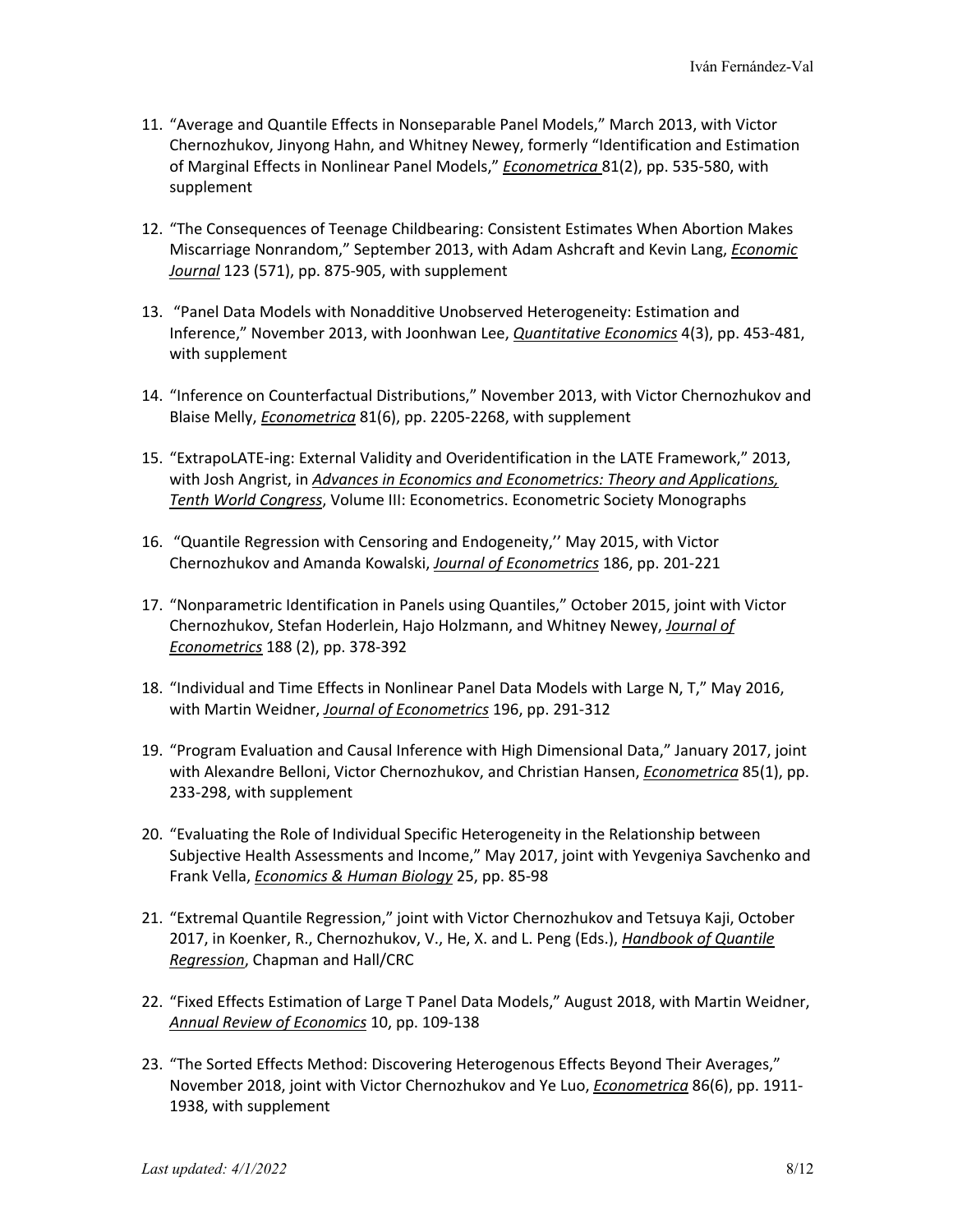- 11. "Average and Quantile Effects in Nonseparable Panel Models," March 2013, with Victor Chernozhukov, Jinyong Hahn, and Whitney Newey, formerly "Identification and Estimation of Marginal Effects in Nonlinear Panel Models," *Econometrica* 81(2), pp. 535-580, with supplement
- 12. "The Consequences of Teenage Childbearing: Consistent Estimates When Abortion Makes Miscarriage Nonrandom," September 2013, with Adam Ashcraft and Kevin Lang, *Economic Journal* 123 (571), pp. 875-905, with supplement
- 13. "Panel Data Models with Nonadditive Unobserved Heterogeneity: Estimation and Inference," November 2013, with Joonhwan Lee, *Quantitative Economics* 4(3), pp. 453-481, with supplement
- 14. "Inference on Counterfactual Distributions," November 2013, with Victor Chernozhukov and Blaise Melly, *Econometrica* 81(6), pp. 2205-2268, with supplement
- 15. "ExtrapoLATE-ing: External Validity and Overidentification in the LATE Framework," 2013, with Josh Angrist, in *Advances in Economics and Econometrics: Theory and Applications, Tenth World Congress*, Volume III: Econometrics. Econometric Society Monographs
- 16. "Quantile Regression with Censoring and Endogeneity,'' May 2015, with Victor Chernozhukov and Amanda Kowalski, *Journal of Econometrics* 186, pp. 201-221
- 17. "Nonparametric Identification in Panels using Quantiles," October 2015, joint with Victor Chernozhukov, Stefan Hoderlein, Hajo Holzmann, and Whitney Newey, *Journal of Econometrics* 188 (2), pp. 378-392
- 18. "Individual and Time Effects in Nonlinear Panel Data Models with Large N, T," May 2016, with Martin Weidner, *Journal of Econometrics* 196, pp. 291-312
- 19. "Program Evaluation and Causal Inference with High Dimensional Data," January 2017, joint with Alexandre Belloni, Victor Chernozhukov, and Christian Hansen, *Econometrica* 85(1), pp. 233-298, with supplement
- 20. "Evaluating the Role of Individual Specific Heterogeneity in the Relationship between Subjective Health Assessments and Income," May 2017, joint with Yevgeniya Savchenko and Frank Vella, *Economics & Human Biology* 25, pp. 85-98
- 21. "Extremal Quantile Regression," joint with Victor Chernozhukov and Tetsuya Kaji, October 2017, in Koenker, R., Chernozhukov, V., He, X. and L. Peng (Eds.), *Handbook of Quantile Regression*, Chapman and Hall/CRC
- 22. "Fixed Effects Estimation of Large T Panel Data Models," August 2018, with Martin Weidner, *Annual Review of Economics* 10, pp. 109-138
- 23. "The Sorted Effects Method: Discovering Heterogenous Effects Beyond Their Averages," November 2018, joint with Victor Chernozhukov and Ye Luo, *Econometrica* 86(6), pp. 1911- 1938, with supplement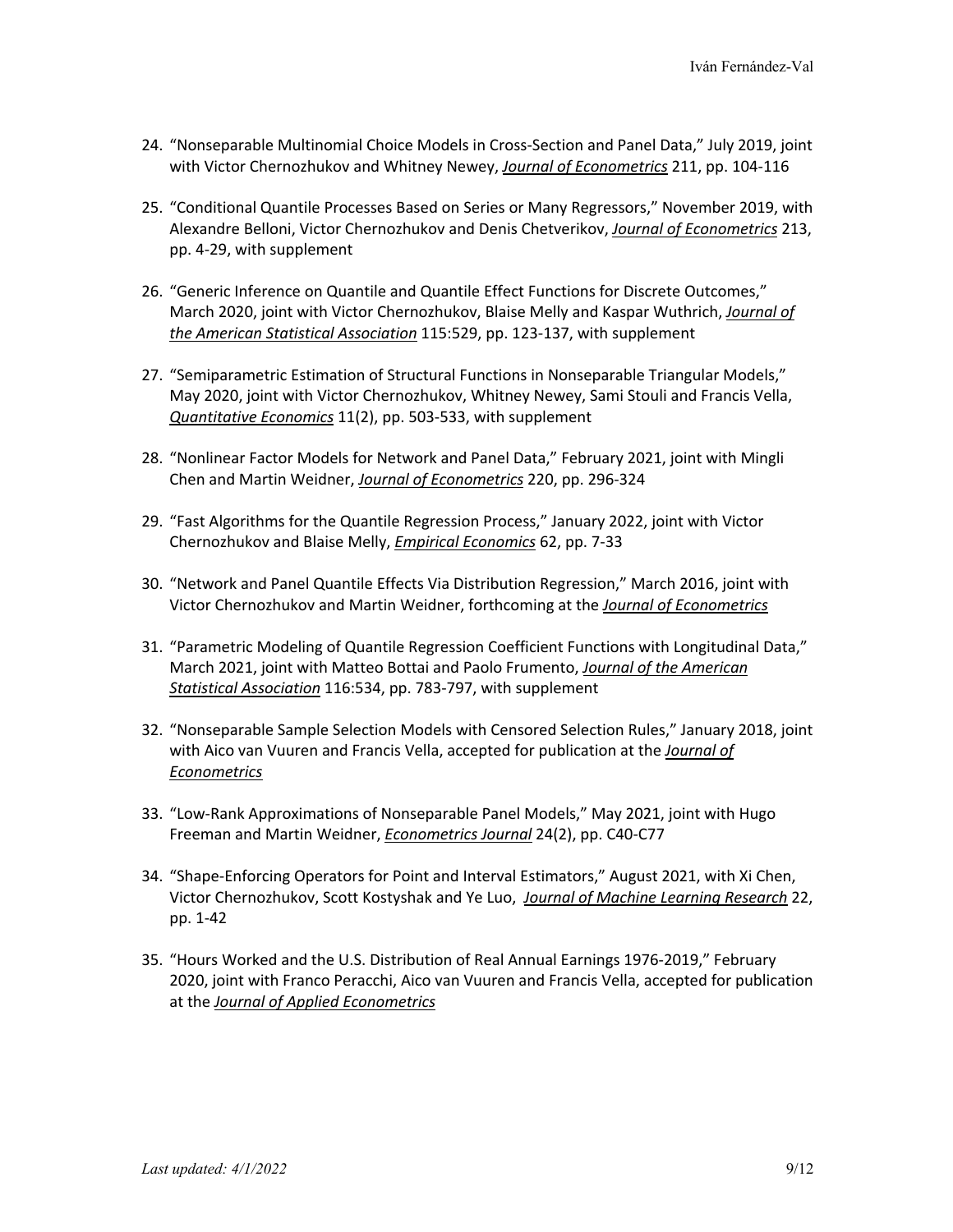- 24. "Nonseparable Multinomial Choice Models in Cross-Section and Panel Data," July 2019, joint with Victor Chernozhukov and Whitney Newey, *Journal of Econometrics* 211, pp. 104-116
- 25. "Conditional Quantile Processes Based on Series or Many Regressors," November 2019, with Alexandre Belloni, Victor Chernozhukov and Denis Chetverikov, *Journal of Econometrics* 213, pp. 4-29, with supplement
- 26. "Generic Inference on Quantile and Quantile Effect Functions for Discrete Outcomes," March 2020, joint with Victor Chernozhukov, Blaise Melly and Kaspar Wuthrich, *Journal of the American Statistical Association* 115:529, pp. 123-137, with supplement
- 27. "Semiparametric Estimation of Structural Functions in Nonseparable Triangular Models," May 2020, joint with Victor Chernozhukov, Whitney Newey, Sami Stouli and Francis Vella, *Quantitative Economics* 11(2), pp. 503-533, with supplement
- 28. "Nonlinear Factor Models for Network and Panel Data," February 2021, joint with Mingli Chen and Martin Weidner, *Journal of Econometrics* 220, pp. 296-324
- 29. "Fast Algorithms for the Quantile Regression Process," January 2022, joint with Victor Chernozhukov and Blaise Melly, *Empirical Economics* 62, pp. 7-33
- 30. "Network and Panel Quantile Effects Via Distribution Regression," March 2016, joint with Victor Chernozhukov and Martin Weidner, forthcoming at the *Journal of Econometrics*
- 31. "Parametric Modeling of Quantile Regression Coefficient Functions with Longitudinal Data," March 2021, joint with Matteo Bottai and Paolo Frumento, *Journal of the American Statistical Association* 116:534, pp. 783-797, with supplement
- 32. "Nonseparable Sample Selection Models with Censored Selection Rules," January 2018, joint with Aico van Vuuren and Francis Vella, accepted for publication at the *Journal of Econometrics*
- 33. "Low-Rank Approximations of Nonseparable Panel Models," May 2021, joint with Hugo Freeman and Martin Weidner, *Econometrics Journal* 24(2), pp. C40-C77
- 34. "Shape-Enforcing Operators for Point and Interval Estimators," August 2021, with Xi Chen, Victor Chernozhukov, Scott Kostyshak and Ye Luo, *Journal of Machine Learning Research* 22, pp. 1-42
- 35. "Hours Worked and the U.S. Distribution of Real Annual Earnings 1976-2019," February 2020, joint with Franco Peracchi, Aico van Vuuren and Francis Vella, accepted for publication at the *Journal of Applied Econometrics*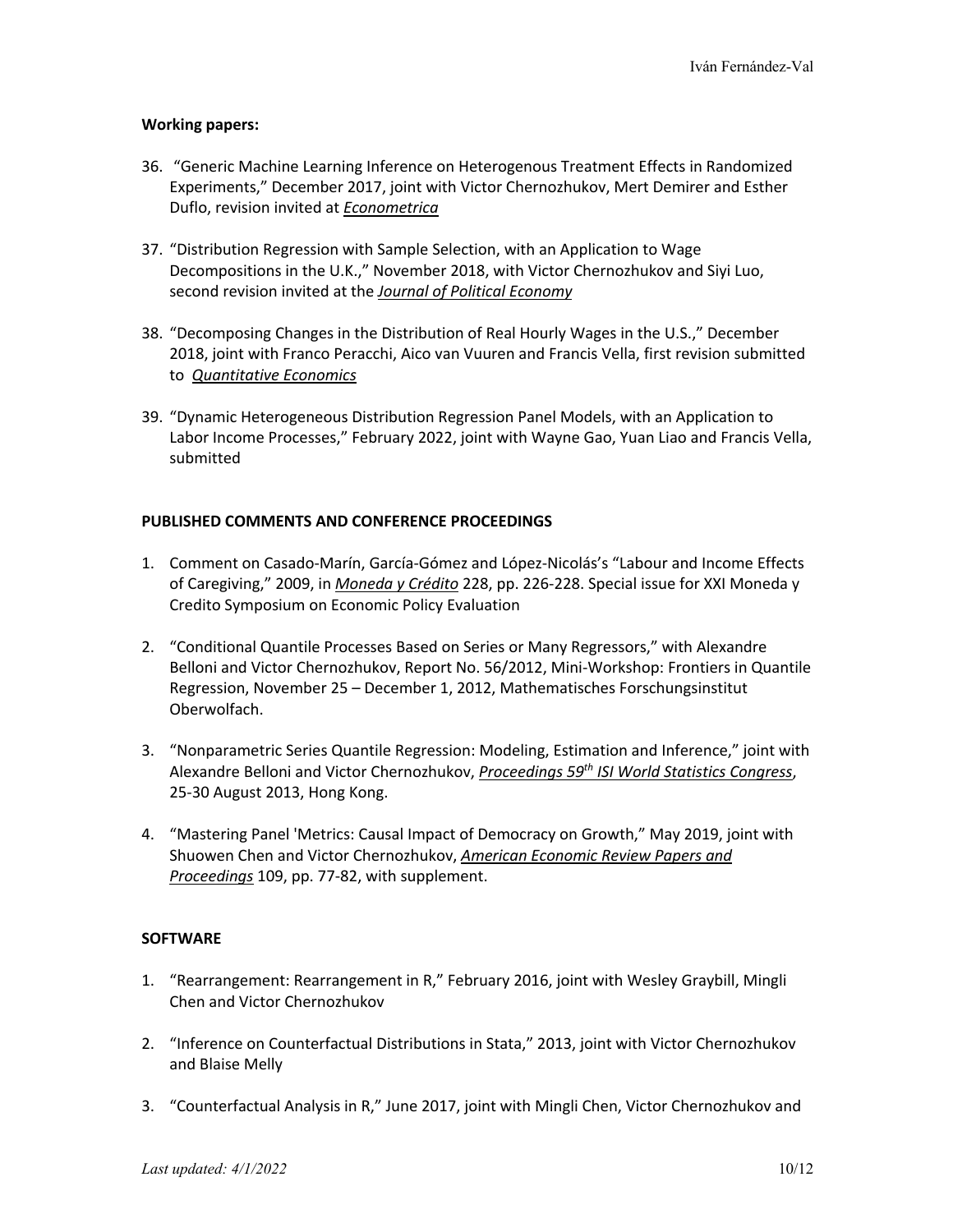## **Working papers:**

- 36. "Generic Machine Learning Inference on Heterogenous Treatment Effects in Randomized Experiments," December 2017, joint with Victor Chernozhukov, Mert Demirer and Esther Duflo, revision invited at *Econometrica*
- 37. "Distribution Regression with Sample Selection, with an Application to Wage Decompositions in the U.K.," November 2018, with Victor Chernozhukov and Siyi Luo, second revision invited at the *Journal of Political Economy*
- 38. "Decomposing Changes in the Distribution of Real Hourly Wages in the U.S.," December 2018, joint with Franco Peracchi, Aico van Vuuren and Francis Vella, first revision submitted to *Quantitative Economics*
- 39. "Dynamic Heterogeneous Distribution Regression Panel Models, with an Application to Labor Income Processes," February 2022, joint with Wayne Gao, Yuan Liao and Francis Vella, submitted

### **PUBLISHED COMMENTS AND CONFERENCE PROCEEDINGS**

- 1. Comment on Casado-Marín, García-Gómez and López-Nicolás's "Labour and Income Effects of Caregiving," 2009, in *Moneda y Crédito* 228, pp. 226-228. Special issue for XXI Moneda y Credito Symposium on Economic Policy Evaluation
- 2. "Conditional Quantile Processes Based on Series or Many Regressors," with Alexandre Belloni and Victor Chernozhukov, Report No. 56/2012, Mini-Workshop: Frontiers in Quantile Regression, November 25 – December 1, 2012, Mathematisches Forschungsinstitut Oberwolfach.
- 3. "Nonparametric Series Quantile Regression: Modeling, Estimation and Inference," joint with Alexandre Belloni and Victor Chernozhukov, *Proceedings 59th ISI World Statistics Congress*, 25-30 August 2013, Hong Kong.
- 4. "Mastering Panel 'Metrics: Causal Impact of Democracy on Growth," May 2019, joint with Shuowen Chen and Victor Chernozhukov, *American Economic Review Papers and Proceedings* 109, pp. 77-82, with supplement.

# **SOFTWARE**

- 1. "Rearrangement: Rearrangement in R," February 2016, joint with Wesley Graybill, Mingli Chen and Victor Chernozhukov
- 2. "Inference on Counterfactual Distributions in Stata," 2013, joint with Victor Chernozhukov and Blaise Melly
- 3. "Counterfactual Analysis in R," June 2017, joint with Mingli Chen, Victor Chernozhukov and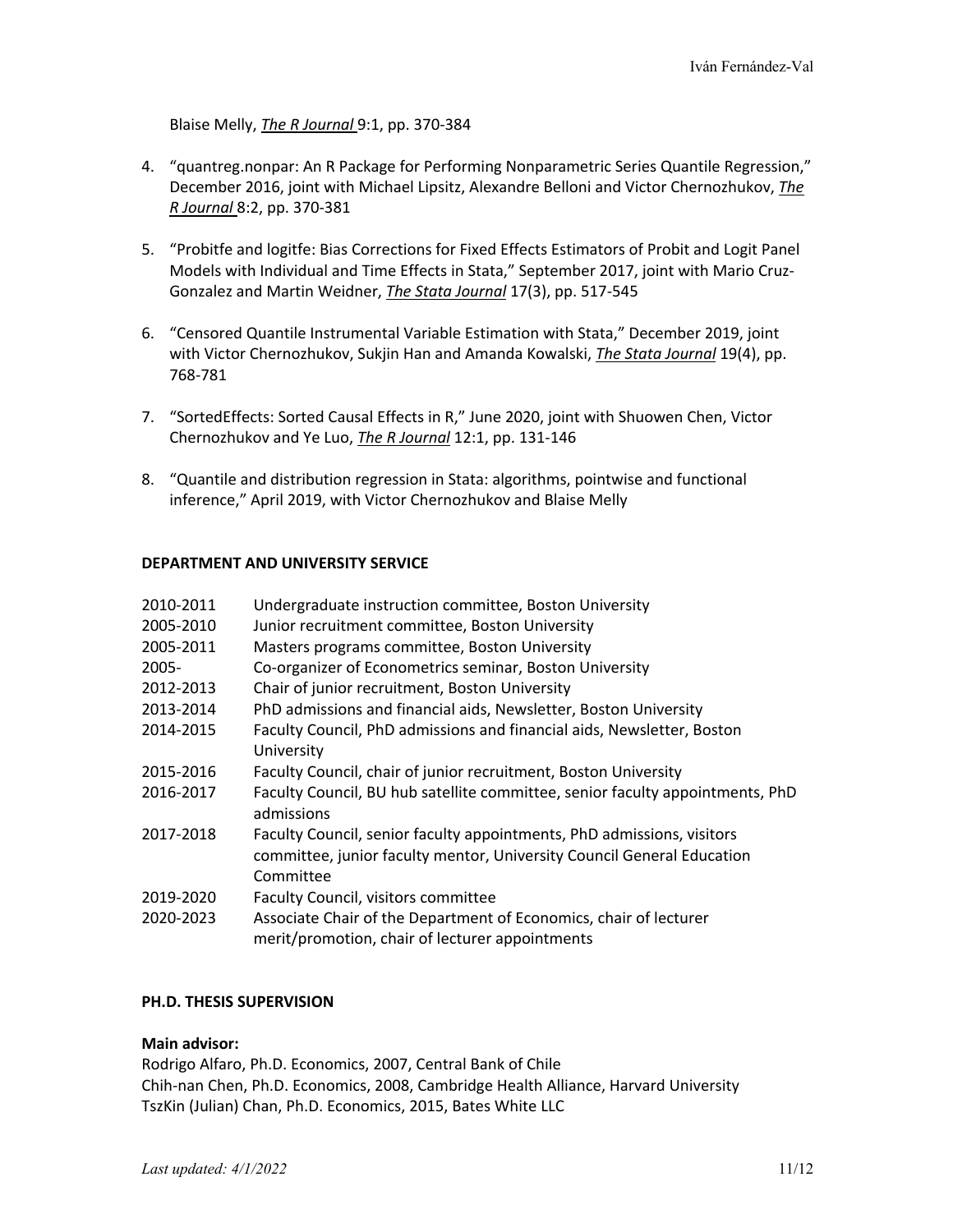Blaise Melly, *The R Journal* 9:1, pp. 370-384

- 4. "quantreg.nonpar: An R Package for Performing Nonparametric Series Quantile Regression," December 2016, joint with Michael Lipsitz, Alexandre Belloni and Victor Chernozhukov, *The R Journal* 8:2, pp. 370-381
- 5. "Probitfe and logitfe: Bias Corrections for Fixed Effects Estimators of Probit and Logit Panel Models with Individual and Time Effects in Stata," September 2017, joint with Mario Cruz-Gonzalez and Martin Weidner, *The Stata Journal* 17(3), pp. 517-545
- 6. "Censored Quantile Instrumental Variable Estimation with Stata," December 2019, joint with Victor Chernozhukov, Sukjin Han and Amanda Kowalski, *The Stata Journal* 19(4), pp. 768-781
- 7. "SortedEffects: Sorted Causal Effects in R," June 2020, joint with Shuowen Chen, Victor Chernozhukov and Ye Luo, *The R Journal* 12:1, pp. 131-146
- 8. "Quantile and distribution regression in Stata: algorithms, pointwise and functional inference," April 2019, with Victor Chernozhukov and Blaise Melly

### **DEPARTMENT AND UNIVERSITY SERVICE**

| 2010-2011 | Undergraduate instruction committee, Boston University                                                               |
|-----------|----------------------------------------------------------------------------------------------------------------------|
| 2005-2010 | Junior recruitment committee, Boston University                                                                      |
| 2005-2011 | Masters programs committee, Boston University                                                                        |
| 2005-     | Co-organizer of Econometrics seminar, Boston University                                                              |
| 2012-2013 | Chair of junior recruitment, Boston University                                                                       |
| 2013-2014 | PhD admissions and financial aids, Newsletter, Boston University                                                     |
| 2014-2015 | Faculty Council, PhD admissions and financial aids, Newsletter, Boston                                               |
|           | University                                                                                                           |
| 2015-2016 | Faculty Council, chair of junior recruitment, Boston University                                                      |
| 2016-2017 | Faculty Council, BU hub satellite committee, senior faculty appointments, PhD<br>admissions                          |
| 2017-2018 | Faculty Council, senior faculty appointments, PhD admissions, visitors                                               |
|           | committee, junior faculty mentor, University Council General Education<br>Committee                                  |
| 2019-2020 | Faculty Council, visitors committee                                                                                  |
| 2020-2023 | Associate Chair of the Department of Economics, chair of lecturer<br>merit/promotion, chair of lecturer appointments |

# **PH.D. THESIS SUPERVISION**

#### **Main advisor:**

Rodrigo Alfaro, Ph.D. Economics, 2007, Central Bank of Chile Chih-nan Chen, Ph.D. Economics, 2008, Cambridge Health Alliance, Harvard University TszKin (Julian) Chan, Ph.D. Economics, 2015, Bates White LLC